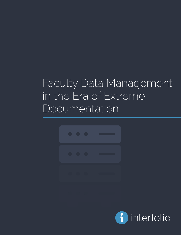# Faculty Data Management in the Era of Extreme Documentation



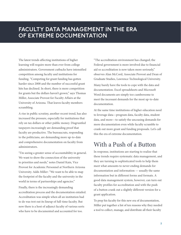#### **FACULTY DATA MANAGEMENT IN THE ERA OF EXTREME DOCUMENTATION**

The latest trends affecting institutions of higher learning will require more than ever from college administrators. Government cutbacks have intensified competition among faculty and institutions for funding. "Competing for grant funding has gotten harder since 2008 and the number of successful grant hits has declined. In short, there is more competition for grants but the dollars haven't grown," says Thomas Miller, Associate Provost for Faculty Affairs at the University of Arizona. That leaves faculty members scrambling.

A rise in public scrutiny, another recent trend, has also increased the pressure, especially for institutions that rely on tax dollars or other public money. Disgruntled taxpayers increasingly are demanding proof that faculty are productive. The bureaucrats, responding to the politicians, are demanding more up-to-date and comprehensive documentation on faculty from administrators.

"I'm seeing a greater sense of accountability in general. We want to show the connection of the university to priorities and needs," notes Daniel Kain, Vice Provost for Academic Personnel at Northern Arizona University. Adds Miller: "We want to be able to map the footprint of the faculty and the university in the world in terms of partnerships and agencies."

Finally, there is the increasingly demanding accreditation process and the documentation entailed. Accreditation was simple when all an institution had to do was trot out its lineup of full-time faculty. But now there is a host of adjunct faculty of various sorts who have to be documented and accounted for too.

"The accreditation environment has changed; the Federal government is more involved due to financial aid so accreditation is now taken more seriously," observes Alan McCord, Associate Provost and Dean of Graduate Studies, Lawrence Technological University.

Many barely have the tools to cope with the data and documentation. Excel spreadsheets and Microsoft Word documents are simply too cumbersome to meet the incessant demands for the most up-to-date documentation.

At the same time institutions of higher education need to leverage data—program data, faculty data, student data, and more—to satisfy the unceasing demands for more documentation even while faculty scramble to crank out more grant and funding proposals. Let's call this the era of extreme documentation.

## With a Push of a Button

In response, institutions are starting to realize that these trends require systematic data management, and they are turning to sophisticated tools to help them meet what amounts to never ending demands for documentation and information — usually the same information but in different forms and formats. A good data management system, however, can turn out faculty profiles for accreditation and with the push of a button crank out a slightly different version for a grant application.

To prep his faculty for this new era of documentation, Miller put together a list of ten reasons why they needed a tool to collect, manage, and distribute all their faculty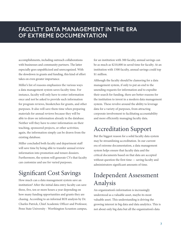### **FACULTY DATA MANAGEMENT IN THE ERA OF EXTREME DOCUMENTATION**

accomplishments, including outreach collaborations with businesses and community partners. The latter especially goes unpublicized and unrecognized. With the slowdown in grants and funding, this kind of effort takes on even greater importance.

Miller's list of reasons emphasizes the various ways a data management system saves faculty time. For instance, faculty will only have to enter information once and not be asked to provide such information for program reviews, biosketches for grants, and other purposes. It also will save them time when preparing materials for annual reviews because they will be able to draw on information already in the database. Neither will they have to enter information on their teaching, sponsored projects, or other activities; again, the information simply can be drawn from the existing database.

Miller concluded both faculty and department staff will save time by being able to transfer annual review information into promotion and tenure dossiers. Furthermore, the system will generate CVs that faculty can customize and use for varied purposes.

## Significant Cost Savings

How much can a data management system save an institution? After the initial data entry faculty can save three, five, ten or more hours a year depending on how many funding opportunities and grants they are chasing. According to an informal ROI analysis by Dr. Charles Patrick, Chief Academic Officer and Professor, Penn State University - Worthington Scranton campus, for an institution with 300 faculty, annual savings can be as much as \$210,000 in saved time for faculty. At an institution with 1500 faculty, annual savings could top \$1 million.

Although the faculty should be clamoring for a data management system, if only to put an end to the unending requests for information and to expedite their search for funding, there are better reasons for the institution to invest in a modern data management system. These revolve around the ability to leverage data for a variety of purposes, from attracting corporate involvement to facilitating accountability and more efficiently managing faculty data.

## Accreditation Support

But the biggest reason for a solid faculty data system may be streamlining accreditation. In our current era of extreme documentation, a data management system helps ensure that faculty data and the critical documents based on that data are accepted without question the first time — saving faculty and administrators significant amounts of time.

## Independent Assessment Analysis

An organization's information is increasingly understood as a valuable asset, maybe its most valuable asset. This understanding is driving the growing interest in big data and data analytics. This is not about only big data but all the organization's data